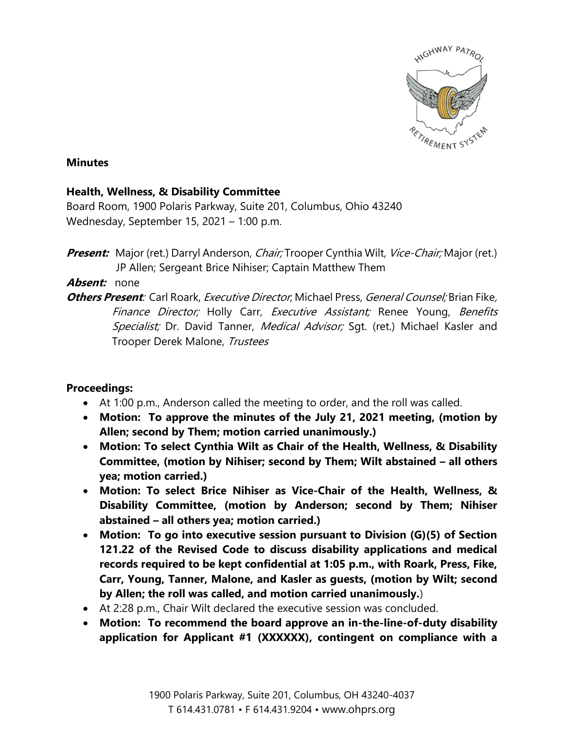

#### **Minutes**

### **Health, Wellness, & Disability Committee**

Board Room, 1900 Polaris Parkway, Suite 201, Columbus, Ohio 43240 Wednesday, September 15, 2021 – 1:00 p.m.

## **Absent:** none

**Others Present**: Carl Roark, Executive Director; Michael Press, General Counsel; Brian Fike, Finance Director; Holly Carr, Executive Assistant; Renee Young, Benefits Specialist; Dr. David Tanner, Medical Advisor; Sqt. (ret.) Michael Kasler and Trooper Derek Malone, Trustees

# **Proceedings:**

- At 1:00 p.m., Anderson called the meeting to order, and the roll was called.
- **Motion: To approve the minutes of the July 21, 2021 meeting, (motion by Allen; second by Them; motion carried unanimously.)**
- **Motion: To select Cynthia Wilt as Chair of the Health, Wellness, & Disability Committee, (motion by Nihiser; second by Them; Wilt abstained – all others yea; motion carried.)**
- **Motion: To select Brice Nihiser as Vice-Chair of the Health, Wellness, & Disability Committee, (motion by Anderson; second by Them; Nihiser abstained – all others yea; motion carried.)**
- **Motion: To go into executive session pursuant to Division (G)(5) of Section 121.22 of the Revised Code to discuss disability applications and medical records required to be kept confidential at 1:05 p.m., with Roark, Press, Fike, Carr, Young, Tanner, Malone, and Kasler as guests, (motion by Wilt; second by Allen; the roll was called, and motion carried unanimously.**)
- At 2:28 p.m., Chair Wilt declared the executive session was concluded.
- **Motion: To recommend the board approve an in-the-line-of-duty disability application for Applicant #1 (XXXXXX), contingent on compliance with a**

**Present:** Major (ret.) Darryl Anderson, *Chair;* Trooper Cynthia Wilt, *Vice-Chair;* Major (ret.) JP Allen; Sergeant Brice Nihiser; Captain Matthew Them